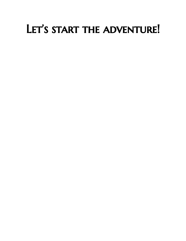## LET'S START THE ADVENTURE!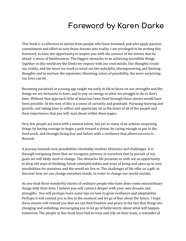### **Foreword by Karen Darke**

This book is a collection of stories from people who have dreamed, and who apply passion, commitment and effort to turn those dreams into reality. I am privileged to be writing this foreword, to have the opportunity to inspire you with the essence of the stories that lie ahead: a sense of limitlessness. The biggest obstacles to us achieving incredible things together in this world are the limits we impose with our own minds. Our thoughts create our reality, and the more we work to weed out the unhelpful, disempowering and limiting thoughts and to nurture the expansive, blooming colors of possibility, the more surprising our lives can be.

Becoming paralysed at a young age taught me early in life to focus on our strengths and the things we are fortunate to have, and to pay no energy to what we struggle to do or don't have. Without that approach little of what has been lived through these stories would have been possible. At the root of this is a sense of curiosity and gratitude. Pursuing learning and growth, and taking time to reflect and appreciate sit in the heart of all of the people and their experiences that you will read about within these pages.

Very few people are born with a natural talent, but yet so many of us achieve surprising things by having courage to begin a path toward a vision, by caring enough to put in the hard work, and through facing fear and failure with a resilience that allows success to flourish.

A journey towards new possibilities inevitably involves obstacles and challenges. It is through navigating these that we recognize patterns in ourselves that in pursuit of our goals we will likely need to change. The obstacles life presents us with are an opportunity to drop old ways of thinking, break unhelpful habits and ways of being and open up to new possibilities for ourselves and the world we live in. The challenges of life offer us a gift: to discover how we can change ourselves inside, in order to change our world outside.

As you read these wonderful stories of ordinary people who have done some extraordinary things with their lives, I believe you will connect deeper with your own dreams and strengths. You will perhaps learn some tips on how to grow resilience and adaptability. Perhaps it will remind you to live in the moment and let go of fear about the future. I hope these stories will remind you that we can find freedom and peace in the fact that things are changing and unfolding, encouraging you to let go of futile worry about what will happen tomorrow. The people in this book have had to trust and rely on their team, a reminder of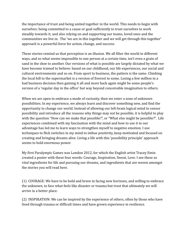the importance of trust and being united together in the world. This needs to begin with ourselves: being committed to a cause or goal sufficiently to trust ourselves to work steadily towards it, and also relying on and supporting our teams, loved ones and the communities we live in. The 'we are in this together and we will get through this together' approach is a powerful force for action, change, and success.

These stories remind us that perception is an illusion. We all filter the world in different ways, and so what seems impossible to one person at a certain time, isn't even a grain of sand in the shoe to another. Our versions of what is possible are largely dictated by what we have become trained to believe: based on our childhood, our life experiences, our social and cultural environments and so on. From sport to business, the pattern is the same. Climbing the local hill to the supermarket is a version of Everest to some. Losing a few million in a bad business decision then gaining it all and more back again might be some people's version of a 'regular day in the office' but way beyond conceivable imagination to others.

When we are open to embrace a mode of curiosity, then we enter a zone of unknown possibilities. In my experience, we always learn and discover something new, and find the opportunity to change our world. Instead of allowing our left-brain logical mind to censor possibility and introduce all the reasons why things may not be possible, it is helpful to play with the question "How can we make that possible?", or "What else might be possible?". Life experiences combined with my fascination with the mind and how to use it to our advantage has led me to learn ways to strengthen myself to negative emotion. I use techniques to flick switches in my mind to imbue positivity, keep motivated and focused on creating and bringing dreams alive. Living a life with this 'possibility principle' approach seems to hold enormous power.

My first Paralympic Games was London 2012, for which the English artist Tracey Emin created a poster with these four words: Courage, Inspiration, Sweat, Love. I see these as vital ingredients for life and pursuing our dreams, and ingredients that are woven amongst the stories you will read here.

(1) COURAGE: We have to be bold and brave in facing new horizons, and willing to embrace the unknown, to face what feels like disaster or trauma but trust that ultimately we will arrive in a better place.

(2) INSPIRATION: We can be inspired by the experience of others, often by those who have lived through trauma or difficult times and have grown experience in resilience.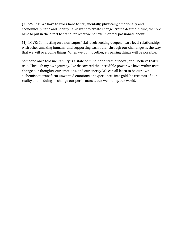(3) SWEAT: We have to work hard to stay mentally, physically, emotionally and economically sane and healthy. If we want to create change, craft a desired future, then we have to put in the effort to stand for what we believe in or feel passionate about.

(4) LOVE: Connecting on a non-superficial level: seeking deeper, heart-level relationships with other amazing humans, and supporting each other through our challenges is the way that we will overcome things. When we pull together, surprising things will be possible.

Someone once told me, "ability is a state of mind not a state of body", and I believe that's true. Through my own journey, I've discovered the incredible power we have within us to change our thoughts, our emotions, and our energy. We can all learn to be our own alchemist, to transform unwanted emotions or experiences into gold, be creators of our reality and in doing so change our performance, our wellbeing, our world.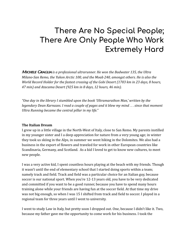### **There Are No Special People; There Are Only People Who Work Extremely Hard**

Michele Graglia *is a professional ultrarunner. He won the Badwater 135, the Ultra Milano-San Remo, the Yukon Arctic 100, and the Moab 240, amongst others. He is also the World Record Holder for the fastest crossing of the Gobi Desert (1703 km in 23 days, 8 hours, 47 min) and Atacama Desert (925 km in 8 days, 12 hours, 46 min).*

*"One day in the library I stumbled upon the book 'Ultramarathon Man,' written by the legendary Dean Karnazes. I read a couple of pages and it blew my mind . . . since that moment Ultra Running became the central pillar in my life."*

#### **The Italian Dream**

I grew up in a little village in the North-West of Italy, close to San Remo. My parents instilled in my younger sister and I a deep appreciation for nature from a very young age; in winter they took us skiing in the Alps, in summer we went hiking in the Dolomites. We also had a business in the export of flowers and traveled for work in other European countries like Scandinavia, Germany, and Scotland. As a kid I loved to get to know new cultures, to meet new people.

I was a very active kid, I spent countless hours playing at the beach with my friends. Though it wasn't until the end of elementary school that I started doing sports within a team; namely track and field. Track and field was a particular choice for an Italian guy, because soccer is our national sport. When you're 12-13 years old, you have to be very dedicated and committed if you want to be a good runner, because you have to spend many hours training alone while your friends are having fun at the soccer field. At that time my drive was not big enough, so when I was 15 I shifted from track and field to soccer. I played in a regional team for three years until I went to university.

I went to study Law in Italy, but pretty soon I dropped out. One, because I didn't like it. Two, because my father gave me the opportunity to come work for his business. I took the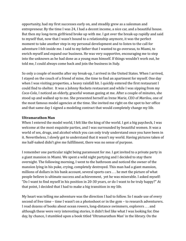opportunity, had my first successes early on, and steadily grew as a salesman and entrepreneur. By the time I was 24, I had a decent income, a nice car, and a beautiful house. But then my long-term girlfriend broke up with me. I got over the break-up rapidly and said to myself that, now that I wasn't bound to a relationship anymore, it was the perfect moment to take another step in my personal development and to listen to the call for adventure I felt inside me. I said to my father that I wanted to go overseas, to Miami, to enrich myself and expand our business. He was very supportive, encouraging me to step into the unknown as he had done as a young man himself. If things wouldn't work out, he told me, I could always come back and join the business in Italy.

So only a couple of months after my break-up, I arrived in the United States. When I arrived, I stayed on the couch of a friend of mine, the time to find an apartment for myself. One day when I was visiting properties, a heavy rainfall hit. I quickly entered the first restaurant I could find to shelter. It was a Johnny Rockets restaurant and while I was sipping from my *Coca-Cola*, I noticed an elderly, graceful woman gazing at me. After a couple of minutes, she stood up and walked up to me. She presented herself as Irene Marie, CEO of *Marilou*, one of the most famous model agencies at the time. She invited me right on the spot to her office and that same day I signed a modeling contract that would completely change my life.

#### **Ultramarathon Man**

When I entered the model world, I felt like the king of the world. I got a big paycheck, I was welcome at the most exquisite parties, and I was surrounded by beautiful women. It was a world of sex, drugs, and alcohol which you can only truly understand once you have been in it. Nevertheless, I slowly got to understand that it wasn't my world. Having pictures taken of me half-naked didn't give me fulfillment, there was no sense of purpose.

I remember one particular night being paramount for me. I got invited to a private party in a giant mansion in Miami. We spent a wild night partying and I decided to stay there overnight. The following morning, I went to the bathroom and noticed the owner of the mansion lying in his puke, crying, completely destroyed. This man had a giant mansion, millions of dollars in his bank account, several sports cars . . . he met the picture of what people believe is ultimate success and achievement, yet he was miserable. I asked myself: "Do I want to find myself in his position in 20-30 years, or do I want to be truly happy?" At that point, I decided that I had to make a big transition in my life.

My heart was telling me adventure was the direction I had to follow. So I made use of every second of free time – time I wasn't on a photoshoot or in the gym – to research adventurers. I read dozens of books about ocean rowers, long-distance swimmers, explorers . . . and although these were very interesting stories, it didn't feel like what I was looking for. One day, by chance, I stumbled upon a book titled 'Ultramarathon Man' in the library. On the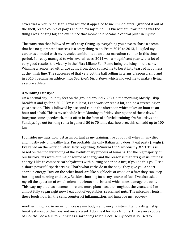cover was a picture of Dean Karnazes and it appealed to me immediately. I grabbed it out of the shelf, read a couple of pages and it blew my mind . . . I knew that ultrarunning was the thing I was longing for, and ever since that moment it became a central pillar in my life.

The transition that followed wasn't easy. Giving up everything you have to chase a dream that has no guaranteed success is a scary thing to do. From 2010 to 2013, I juggled my career as a model with my revealed ambitions as an ultra marathon runner. In this time period, I already managed to win several races. 2014 was a magnificent year with a lot of very good results, the victory in the Ultra Milano-San Remo being the icing on the cake. Winning a renowned ultra race at my front door caused me to burst into tears of happiness at the finish line. The successes of that year got the ball rolling in terms of sponsorship and in 2015 I became an athlete in *La Sportiva's Ultra Team*, which allowed me to make a living as a pro athlete.

#### **A Winning Lifestyle**

On a normal day, I put my feet on the ground around 7-7:30 in the morning. Mostly I skip breakfast and go for a 20-25 km run. Next, I eat, work or read a bit, and do a stretching or yoga session. This is followed by a second run in the afternoon which takes an hour to an hour and a half. This is my schedule from Monday to Friday; during one of these days, I integrate some speedwork, most often in the form of a fartlek training. On Saturdays and Sundays I go out for long runs; in general 50 to 70 km a day, however, this can add up to 100 km.

I consider my nutrition just as important as my training. I've cut out all wheat in my diet and mostly rely on healthy fats, I'm probably the only Italian who doesn't eat pasta (laughs). I've relied on the work of Peter Defty regarding *Optimized Fat Metabolism (OFM)*. This is based on the understanding of the evolutionary process of humans. For the big majority of our history, fats were our major source of energy and the reason is that fats give us limitless energy. I like to compare carbohydrates with putting paper on a fire; if you do this you'll see a short, powerful spark arising. That's what carbs do in the body: they give you a short spark in energy. Fats, on the other hand, are like big blocks of wood on a fire: they can keep burning and burning endlessly. Besides choosing fat as my source of fuel, I've also asked myself the question of which micro-nutrients nourish and which ones damage the cells. This way, my diet has become more and more plant-based throughout the years, and I'm almost fully vegan right now. I eat a lot of vegetables, seeds, and nuts. The micronutrients in these foods nourish the cells, counteract inflammation, and improve my recovery.

Another thing I do in order to increase my body's efficiency is intermittent fasting. I skip breakfast most of the days and once a week I don't eat for 20-24 hours. Once every couple of months I do a 48h to 72h fast as a sort of big reset. Because my body is so used to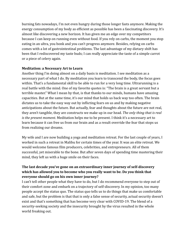burning fats nowadays, I'm not even hungry during those longer fasts anymore. Making the energy consumption of my body as efficient as possible has been a fascinating discovery. It's almost like discovering a new horizon. It has given me an edge over my competitors because I can keep on running even without food. If you rely on carbs, the moment you stop eating in an ultra, you bonk and you can't progress anymore. Besides, relying on carbs comes with a lot of gastrointestinal problems. The last advantage of my dietary shift has been that I rediscovered my taste buds; I can really appreciate the taste of a simple carrot or a piece of celery again.

#### **Meditation: a Necessary Art to Learn**

Another thing I'm doing almost on a daily basis is meditation. I see meditation as a necessary part of what I do. By meditation you learn to transcend the body, the focus goes within. That's a fundamental skill to be able to run for a very long time. Ultrarunning is a real battle with the mind. One of my favorite quotes is: "The brain is a great servant but a terrible master." What I mean by that, is that thanks to our minds, humans have amazing capacities. But at the same time, it's our mind that holds us back way too often. The brain dictates us to take the easy way out by inflicting fears on us and by making negative anticipations about the future. But actually, fear and thoughts about the future are not real, they aren't tangible, they are constructs we make up in our head. *The only thing that is real is the present moment.* Meditation helps me to be present. I think it's a necessary art to learn because it can free us from our brain and as a result override the fear that stops us from realizing our dreams.

My wife and I are now building a yoga and meditation retreat. For the last couple of years, I worked in such a retreat in Malibu for certain times of the year. It was an elite retreat. We would welcome famous film producers, celebrities, and entrepreneurs. All of them successful, yet miserable to the bone. But after seven days of spending time mastering their mind, they left us with a huge smile on their faces.

#### **The last decade you've gone on an extraordinary inner journey of self-discovery which has allowed you to become who you really want to be. Do you think that everyone should go on his own inner journey?**

I can't tell other people what they have to do, but I do recommend everyone to step out of their comfort zone and embark on a trajectory of self-discovery. In my opinion, too many people accept the status quo. The status quo tells us to do things that make us comfortable and safe, but the problem is that that is only a false sense of security, actual security doesn't exist and that's something that has become very clear with COVID-19. The blend of a security-seeking society and the insecurity brought by the virus resulted in the whole world freaking out.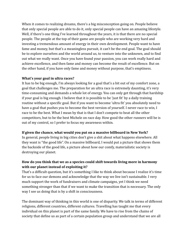When it comes to realizing dreams, there's a big misconception going on. People believe that only special people are able to do it, only special people can have an amazing lifestyle. Well, if there's one thing I've learned throughout the years, it is that there are no special people. The people at the top of their game are people who are working very hard and investing a tremendous amount of energy in their own development. People want to have fame and money, but that's a meaningless pursuit, it can't be the end goal. The goal should be to explore ourselves and the world around us, to venture into the unknown, and to find out what we really want. Once you have found your passion, you can work really hard and achieve excellence, and then fame and money can become the result of excellence. But on the other hand, if you have only fame and money without purpose, that's emptiness.

#### **What's your goal in ultra races?**

It has to be big enough, I'm always looking for a goal that's a bit out of my comfort zone, a goal that challenges me. The preparation for an ultra race is extremely daunting, it's very time-consuming and demands a whole lot of energy. You can only get through that hardship if your goal is big enough. I believe that it is possible to be 'just fit' by a daily training routine without a specific goal. But if you want to become 'ultra fit' you absolutely need to have a goal that pushes you to become the best version of yourself. I never race to win, I race to be the best. What I mean by that is that I don't compete to beat all the other competitors, but to be the best Michele on race day. How good the other runners will be is out of my control, so I prefer to focus my awareness within.

#### **If given the chance, what would you put on a massive billboard in New York?**

In general, people living in big cities don't give a shit about what happens elsewhere. All they want is "the good life". On a massive billboard, I would put a picture that shows them the backside of the good life, a picture about how our comfy, materialistic society is destroying our planet.

#### **How do you think that we as a species could shift towards living more in harmony with our planet instead of exploiting it?**

That's a difficult question, but it's something I like to think about because I realize it's time for us to face our demons and acknowledge that the way we live isn't sustainable. I very much support the work of fundraisers and climate campaigns, yet I think we need something stronger than that if we want to make the transition that is necessary. The only way I see us doing that is by a shift in consciousness.

The dominant way of thinking in this world is one of disparity. We talk in terms of different religions, different countries, different cultures. Travelling has taught me that every individual on this planet is part of the same family. We have to rise from the chains of society that define us as part of a certain population group and understand that we are all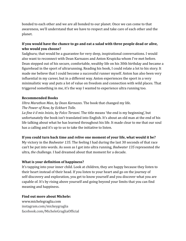bonded to each other and we are all bonded to our planet. Once we can come to that awareness, we'll understand that we have to respect and take care of each other and the planet.

#### **If you would have the chance to go and eat a salad with three people dead or alive, who would you choose?**

Sadghuru; that would be a guarantee for very deep, inspirational conversations. I would also want to reconnect with Dean Karnazes and Anton Krupicka whom I've met before. Dean stepped out of his secure, comfortable, wealthy life on his 30th birthday and became a figurehead in the sport of ultrarunning. Reading his book, I could relate a lot to his story. It made me believe that I could become a successful runner myself. Anton has also been very influential in my career, but in a different way. Anton experiences the sport in a very minimalistic way and puts a lot of value on freedom and connection with wild places. That triggered something in me, it's the way I wanted to experience ultra running too.

#### **Recommended Books**

*Ultra Marathon Man, by Dean Karnazes*. The book that changed my life. *The Power of Now, by Eckhart Tolle*.

*La fine è il mio Inizio, by Folco Terzani*. The title means 'the end is my beginning', but unfortunately the book isn't translated into English. It's about an old man at the end of his life talking about what he has learned throughout his life. It made clear to me that our soul has a calling and it's up to us to take the initiative to listen.

#### **If you could turn back time and relive one moment of your life, what would it be?**

My victory in the *Badwater 135*. The feeling I had during the last 30 seconds of that race can't be put into words. As soon as I got into ultra running, *Badwater 135* represented *the* ultra, *the* challenge. I had dreamed about that moment for a decade.

#### **What is your definition of happiness?**

It's tapping into your inner child. Look at children, they are happy because they listen to their heart instead of their head. If you listen to your heart and go on the journey of self-discovery and exploration, you get to know yourself and you discover what you are capable of. It's by rising above yourself and going beyond your limits that you can find meaning and happiness.

#### **Find out more about Michele:**

[www.michelegraglia.com](http://www.michelegraglia.com) [instagram.com/mickeygraglia](http://instagram.com/mickeygraglia) [facebook.com/MicheleGragliaOfficial](http://facebook.com/MicheleGragliaOfficial)